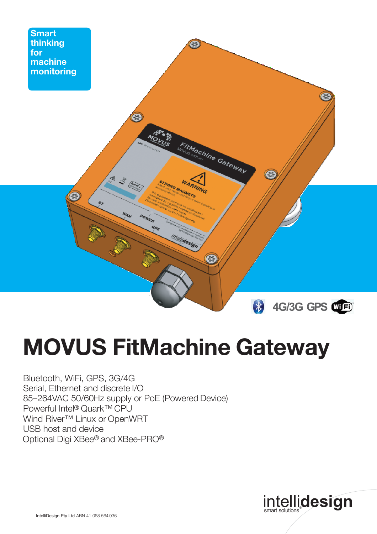

## **MOVUS FitMachine Gateway**

Bluetooth, WiFi, GPS, 3G/4G Serial, Ethernet and discrete I/O 85–264VAC 50/60Hz supply or PoE (Powered Device) Powerful Intel® Quark™CPU Wind River<sup>™</sup> Linux or OpenWRT USB host and device Optional Digi XBee® and XBee-PRO®